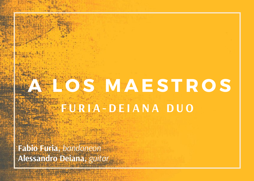# **A L O S M A ES T R O S F U R I A - D E I A N A D U O**

**Fabio Furia,** *bandoneon* **Alessandro Deiana,** *guitar*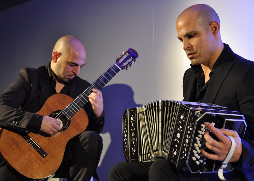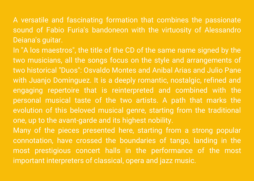A versatile and fascinating formation that combines the passionate sound of Fabio Furia's bandoneon with the virtuosity of Alessandro Deiana's guitar.

In "A los maestros", the title of the CD of the same name signed by the two musicians, all the songs focus on the style and arrangements of two historical "Duos": Osvaldo Montes and Anibal Arias and Julio Pane with Juanjo Dominguez. It is a deeply romantic, nostalgic, refined and engaging repertoire that is reinterpreted and combined with the personal musical taste of the two artists. A path that marks the evolution of this beloved musical genre, starting from the traditional one, up to the avant-garde and its highest nobility.

Many of the pieces presented here, starting from a strong popular connotation, have crossed the boundaries of tango, landing in the most prestigious concert halls in the performance of the most important interpreters of classical, opera and jazz music.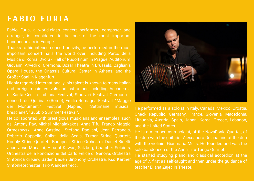#### **F A B I O F U R I A**

Fabio Furia, a world-class concert performer, composer and bandoneonists in Europe.

Thanks to his intense concert activity, he performed in the most important concert halls the world over, including Parco della Musica di Roma, Dvorak Hall of Rudolfinum in Prague, Auditorium Giovanni Arvedi di Cremona, Bozar Theatre in Brussels, Cagliari's

Highly regarded internationally, his talent is known to many Italian and foreign music festivals and institutions, including, Accademia concerti del Quirinale (Rome), Emilia Romagna Festival, "Maggio bresciane", "Gubbio Summer Festival".

He collaborated with prestigious musicians and ensembles, such as: Antony Pay, Michel Michalakakos, Anna Tifu, Franco Maggio Ormezowski, Anne Gastinel, Stefano Pagliani, Jean Ferrandis, Roberto Cappello, Solisti della Scala, Turner String Quartett, Kodàly String Quartett, Budapest String Orchestra, Daniel Binelli, Juan José Mosalini, Hiba al Kawas, Salzburg Chamber Soloists, Orchestra della Fondazione del Carlo Felice di Genova, Orchestra Sinfonieorchester, Trio Wanderer ecc.



He performed as a soloist in Italy, Canada, Mexico, Croatia, and the United States.

He is a member, as a soloist, of the NovaFonic Quartet, of the duo with the guitarist Alessandro Deiana and of the duo with the violinist Gianmaria Melis. He founded and was the solo bandoneon of the Anna Tifu Tango Quartet.

He started studying piano and classical accordion at the age of 7, first as self-taught and then under the guidance of teacher Eliana Zajec in Trieste.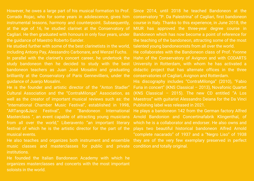However, he owes a large part of his musical formation to Prof. instrumental lessons, harmony and counterpoint. Subsequently, at the age of 16, he studied clarinet at the Conservatory of Cagliari. He then graduated with honours in only four years, under the guidance of Maestro Roberto Gander.

He studied further with some of the best clarinetists in the world, including Antony Pay, Alessandro Carbonare, and Wenzel Fuchs. In parallel with the clarinet's concert career, he undertook the guidance of Juanjo Mosalini.

well as the creator of important musical reviews such as: the "ARTango&Jazz Festival", the "Bandoneon International Masterclass ", an event capable of attracting young musicians from all over the world," Liberavento "an important literary musical events.

He also teaches and organizes both instrument and ensemble

organizes masterclasses and concerts with the most important soloists in the world.

Since 2014, until 2018 he teached Bandoneon at the conservatory "P. Da Palestrina" of Cagliari, first bandoneon course in Italy. Thanks to this experience, in June 2018, the MIUR has approved the three-year degree course in Bandoneon which has now become a point of reference for the teaching of the bandoneon, attracting some of the most talented young bandoneonists from all over the world.

He collaborates with the Bandoneon class of Prof. Yvonne University in Rotterdam, with whom he has activated a conservatories of Cagliari, Avignon and Rotterdam.

His discography includes "ContraMilonga" (2010), "Fabio Furia in concert" (KNS Classical – 2013), Novafonic Quartet Maestros" with guitarist Alessandro Deiana for the Da Vinci Publishing label was released in 2021.

He plays a bandoneon 142 from the German factory Alfred which he is a collaborator and endorser. He also owns and they are of the very few exemplary preserved in perfect condition and totally original.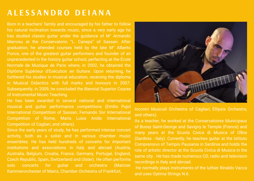#### **A L E S S A N D R O D E I A N A**

Born in a teachers' family and encouraged by his father to follow his natural inclination towards music, since a very early age he Ponce, one of the greatest guitar performers and founder of an unprecedented in the history guitar school, perfecting at the École Normale de Musique de Paris where, in 2002, he obtained the furthered his studies in musical education, receiving the diploma Subsequently, in 2009, he concluded the Biennial Superior Course of Instrumental Music Teaching.

International Competition of Sassari, Fernando Sor International Competition of Cagliari, and others).

Since the early years of study, he has performed intense concert ensembles. He has held hundreds of concerts for important Australia, Belgium, Croatia, France, Germany, Portugal, England, Czech Republic, Spain, Switzerland and Ulster). He often performs Kammerorchester of Mainz, Chamber Orchestra of Frankfurt,



Incontri Musicali Orchestra of Cagliari, Ellipsis Orchestra, and others).

As a teacher, he worked at the Conservatoires Municipaux of Bussy Saint-George and Savigny le Temple (France) and (Sardinia - Italy). Currently, he teaches quitar at the Istituto Comprensivo of Tempio Pausania in Sardinia and holds the role of artistic director at the Scuola Civica di Musica in the same city. He has made numerous CD, radio and television recordings in Italy and abroad.

He normally plays instruments of the luthier Rinaldo Vacca and uses Optima Strings N.6.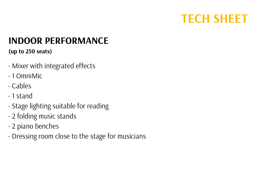## **TECH SHEET**

### **INDOOR PERFORMANCE**

**(up to 250 seats)**

- Mixer with integrated effects
- 1 OmniMic
- Cables
- 1 stand
- Stage lighting suitable for reading
- 2 folding music stands
- 2 piano benches
- Dressing room close to the stage for musicians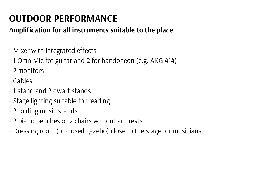## **OUTDOOR PERFORMANCE**

### **Amplification for all instruments suitable to the place**

- Mixer with integrated effects
- 1 OmniMic fot guitar and 2 for bandoneon (e.g. AKG 414)
- 2 monitors
- Cables
- 1 stand and 2 dwarf stands
- Stage lighting suitable for reading
- 2 folding music stands
- 2 piano benches or 2 chairs without armrests
- Dressing room (or closed gazebo) close to the stage for musicians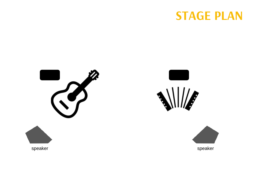## **STAGE PLAN**









speaker speaker speaker speaker speaker speaker speaker speaker speaker speaker speaker